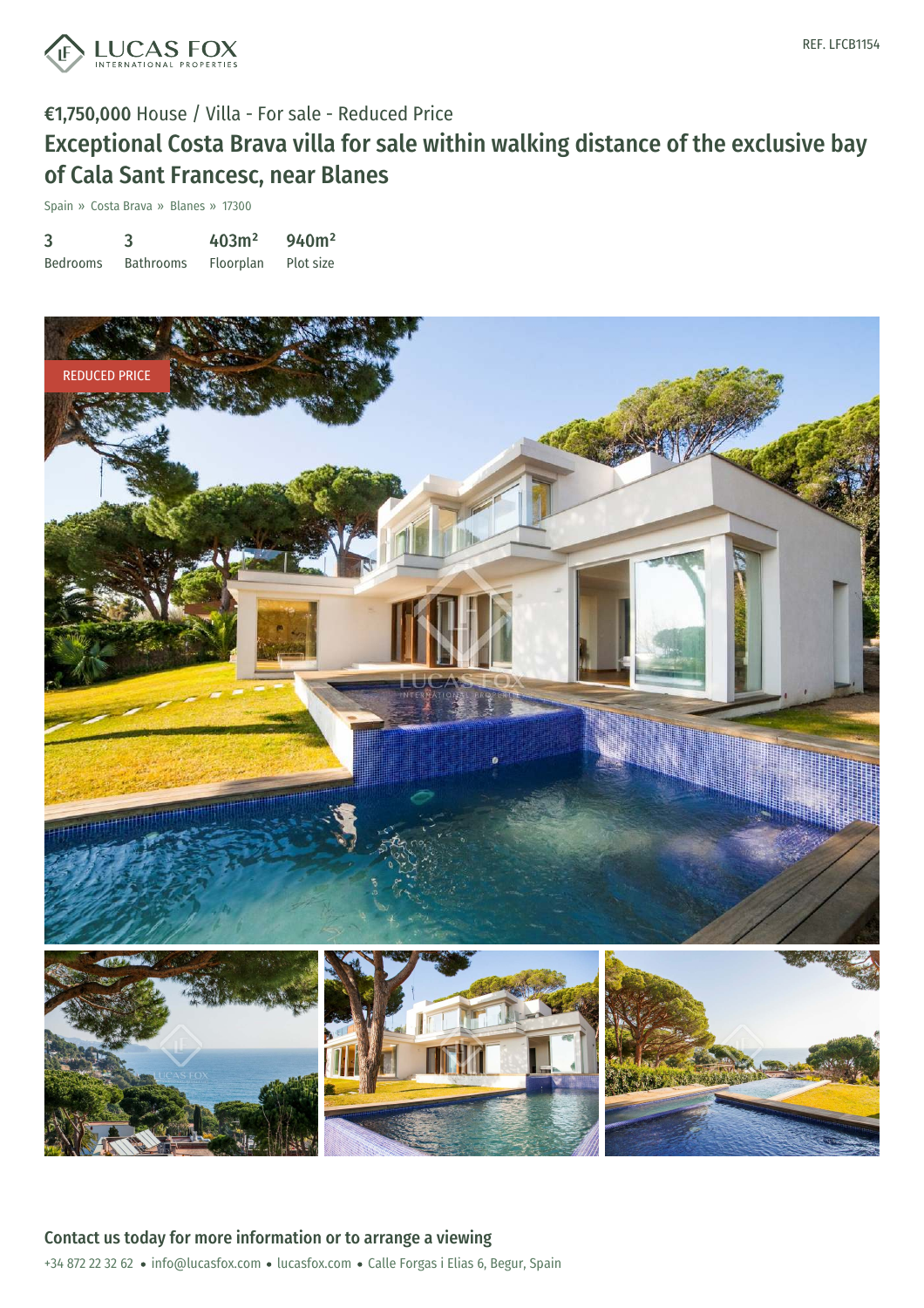

### €1,750,000 House / Villa - For sale - Reduced Price

# Exceptional Costa Brava villa for sale within walking distance of the exclusive bay of Cala Sant Francesc, near Blanes

Spain » Costa Brava » Blanes » 17300

| 3               | 3                | 403m <sup>2</sup> | 940m <sup>2</sup> |
|-----------------|------------------|-------------------|-------------------|
| <b>Bedrooms</b> | <b>Bathrooms</b> | Floorplan         | Plot size         |

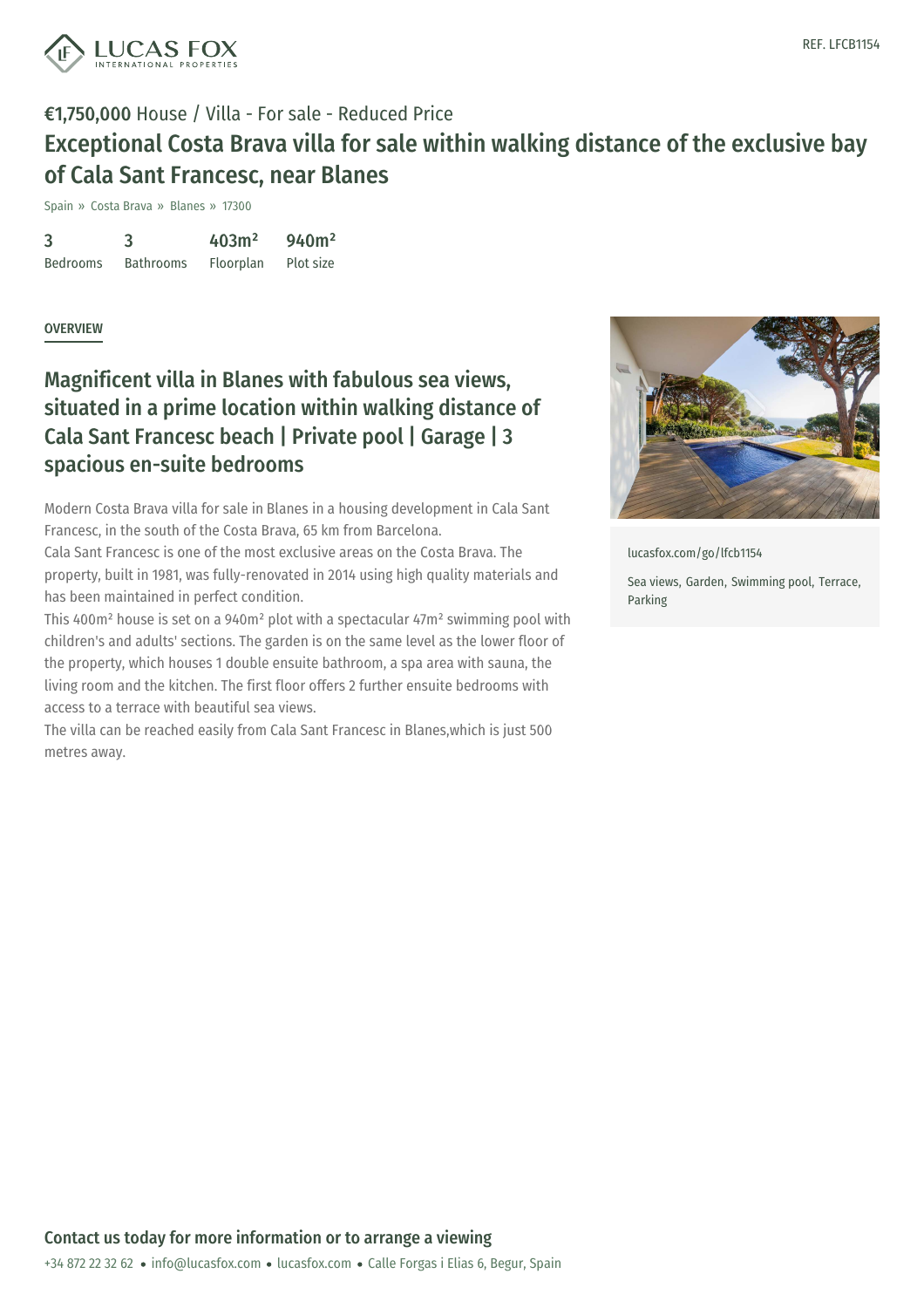

### €1,750,000 House / Villa - For sale - Reduced Price Exceptional Costa Brava villa for sale within walking distance of the exclusive bay of Cala Sant Francesc, near Blanes

Spain » Costa Brava » Blanes » 17300

3 Bedrooms 3 Bathrooms 403m² Floorplan 940m² Plot size

#### **OVERVIEW**

### Magnificent villa in Blanes with fabulous sea views, situated in a prime location within walking distance of Cala Sant Francesc beach | Private pool | Garage | 3 spacious en-suite bedrooms

Modern Costa Brava villa for sale in [Blanes](http://www.lucasfox.com/Search.html?classid=res_sale&locationid=53A5F417FF&typeid=&priceto=0&reference=) in a housing development in Cala Sant Francesc, in the south of the Costa Brava, 65 km from Barcelona.

Cala Sant Francesc is one of the most exclusive areas on the Costa Brava. The property, built in 1981, was fully-renovated in 2014 using high quality materials and has been maintained in perfect condition.

This 400m² house is set on a 940m² plot with a spectacular 47m² swimming pool with children's and adults' sections. The garden is on the same level as the lower floor of the property, which houses 1 double ensuite bathroom, a spa area with sauna, the living room and the kitchen. The first floor offers 2 further ensuite bedrooms with access to a terrace with beautiful sea views.

The villa can be reached easily from Cala Sant Francesc in Blanes,which is just 500 metres away.



[lucasfox.com/go/lfcb1154](https://www.lucasfox.com/go/lfcb1154)

Sea views, Garden, Swimming pool, Terrace, Parking